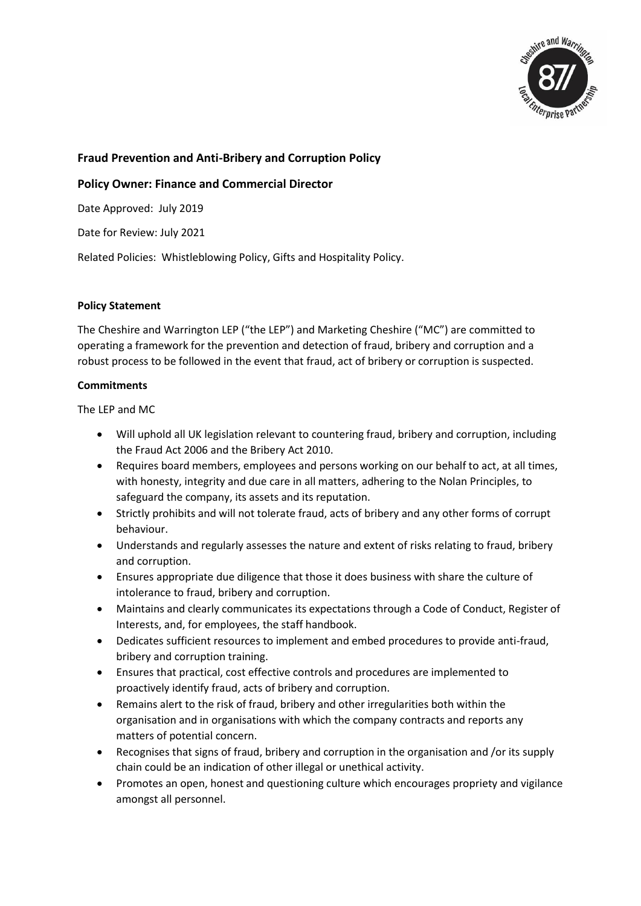

## **Fraud Prevention and Anti-Bribery and Corruption Policy**

## **Policy Owner: Finance and Commercial Director**

Date Approved: July 2019

Date for Review: July 2021

Related Policies: Whistleblowing Policy, Gifts and Hospitality Policy.

## **Policy Statement**

The Cheshire and Warrington LEP ("the LEP") and Marketing Cheshire ("MC") are committed to operating a framework for the prevention and detection of fraud, bribery and corruption and a robust process to be followed in the event that fraud, act of bribery or corruption is suspected.

## **Commitments**

The LEP and MC

- Will uphold all UK legislation relevant to countering fraud, bribery and corruption, including the Fraud Act 2006 and the Bribery Act 2010.
- Requires board members, employees and persons working on our behalf to act, at all times, with honesty, integrity and due care in all matters, adhering to the Nolan Principles, to safeguard the company, its assets and its reputation.
- Strictly prohibits and will not tolerate fraud, acts of bribery and any other forms of corrupt behaviour.
- Understands and regularly assesses the nature and extent of risks relating to fraud, bribery and corruption.
- Ensures appropriate due diligence that those it does business with share the culture of intolerance to fraud, bribery and corruption.
- Maintains and clearly communicates its expectations through a Code of Conduct, Register of Interests, and, for employees, the staff handbook.
- Dedicates sufficient resources to implement and embed procedures to provide anti-fraud, bribery and corruption training.
- Ensures that practical, cost effective controls and procedures are implemented to proactively identify fraud, acts of bribery and corruption.
- Remains alert to the risk of fraud, bribery and other irregularities both within the organisation and in organisations with which the company contracts and reports any matters of potential concern.
- Recognises that signs of fraud, bribery and corruption in the organisation and /or its supply chain could be an indication of other illegal or unethical activity.
- Promotes an open, honest and questioning culture which encourages propriety and vigilance amongst all personnel.